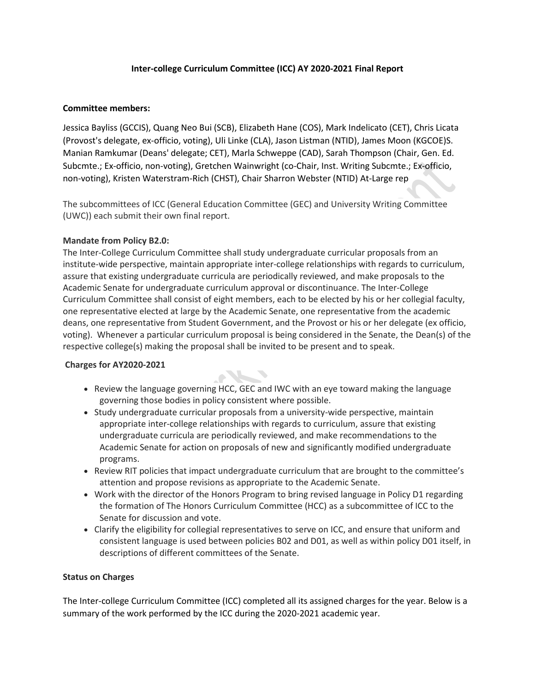#### **Inter-college Curriculum Committee (ICC) AY 2020-2021 Final Report**

### **Committee members:**

Jessica Bayliss (GCCIS), Quang Neo Bui (SCB), Elizabeth Hane (COS), Mark Indelicato (CET), Chris Licata (Provost's delegate, ex-officio, voting), Uli Linke (CLA), Jason Listman (NTID), James Moon (KGCOE)S. Manian Ramkumar (Deans' delegate; CET), Marla Schweppe (CAD), Sarah Thompson (Chair, Gen. Ed. Subcmte.; Ex-officio, non-voting), Gretchen Wainwright (co-Chair, Inst. Writing Subcmte.; Ex-officio, non-voting), Kristen Waterstram-Rich (CHST), Chair Sharron Webster (NTID) At-Large rep

The subcommittees of ICC (General Education Committee (GEC) and University Writing Committee (UWC)) each submit their own final report.

## **Mandate from Policy B2.0:**

The Inter-College Curriculum Committee shall study undergraduate curricular proposals from an institute-wide perspective, maintain appropriate inter-college relationships with regards to curriculum, assure that existing undergraduate curricula are periodically reviewed, and make proposals to the Academic Senate for undergraduate curriculum approval or discontinuance. The Inter-College Curriculum Committee shall consist of eight members, each to be elected by his or her collegial faculty, one representative elected at large by the Academic Senate, one representative from the academic deans, one representative from Student Government, and the Provost or his or her delegate (ex officio, voting). Whenever a particular curriculum proposal is being considered in the Senate, the Dean(s) of the respective college(s) making the proposal shall be invited to be present and to speak.

#### **Charges for AY2020-2021**

• Review the language governing HCC, GEC and IWC with an eye toward making the language governing those bodies in policy consistent where possible.

 $\bullet$ 

- Study undergraduate curricular proposals from a university-wide perspective, maintain appropriate inter-college relationships with regards to curriculum, assure that existing undergraduate curricula are periodically reviewed, and make recommendations to the Academic Senate for action on proposals of new and significantly modified undergraduate programs.
- Review RIT policies that impact undergraduate curriculum that are brought to the committee's attention and propose revisions as appropriate to the Academic Senate.
- Work with the director of the Honors Program to bring revised language in Policy D1 regarding the formation of The Honors Curriculum Committee (HCC) as a subcommittee of ICC to the Senate for discussion and vote.
- Clarify the eligibility for collegial representatives to serve on ICC, and ensure that uniform and consistent language is used between policies B02 and D01, as well as within policy D01 itself, in descriptions of different committees of the Senate.

#### **Status on Charges**

The Inter-college Curriculum Committee (ICC) completed all its assigned charges for the year. Below is a summary of the work performed by the ICC during the 2020-2021 academic year.